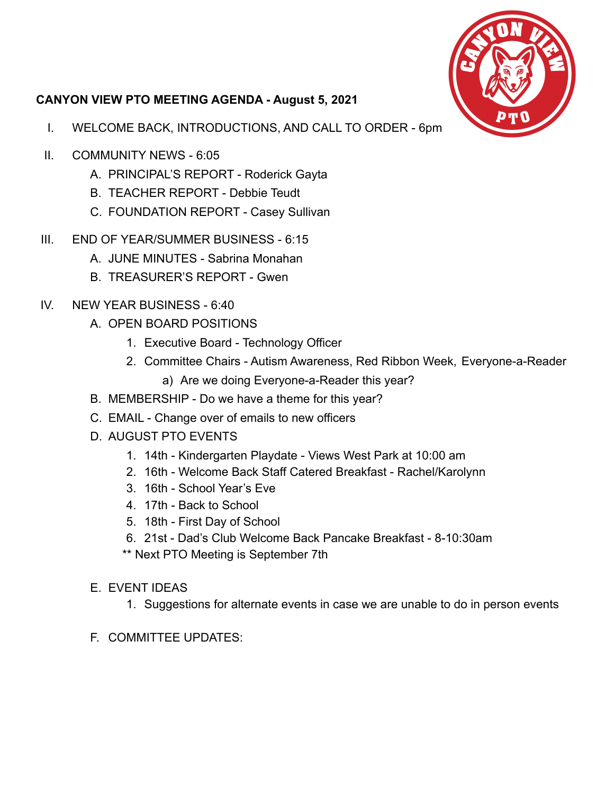

## **CANYON VIEW PTO MEETING AGENDA - August 5, 2021**

- I. WELCOME BACK, INTRODUCTIONS, AND CALL TO ORDER 6pm
- II. COMMUNITY NEWS 6:05
	- A. PRINCIPAL'S REPORT Roderick Gayta
	- B. TEACHER REPORT Debbie Teudt
	- C. FOUNDATION REPORT Casey Sullivan
- III. END OF YEAR/SUMMER BUSINESS 6:15
	- A. JUNE MINUTES Sabrina Monahan
	- B. TREASURER'S REPORT Gwen
- IV. NEW YEAR BUSINESS 6:40
	- A. OPEN BOARD POSITIONS
		- 1. Executive Board Technology Officer
		- 2. Committee Chairs Autism Awareness, Red Ribbon Week, Everyone-a-Reader
			- a) Are we doing Everyone-a-Reader this year?
	- B. MEMBERSHIP Do we have a theme for this year?
	- C. EMAIL Change over of emails to new officers
	- D. AUGUST PTO EVENTS
		- 1. 14th Kindergarten Playdate Views West Park at 10:00 am
		- 2. 16th Welcome Back Staff Catered Breakfast Rachel/Karolynn
		- 3. 16th School Year's Eve
		- 4. 17th Back to School
		- 5. 18th First Day of School
		- 6. 21st Dad's Club Welcome Back Pancake Breakfast 8-10:30am
		- \*\* Next PTO Meeting is September 7th
	- E. EVENT IDEAS
		- 1. Suggestions for alternate events in case we are unable to do in person events
	- F. COMMITTEE UPDATES: